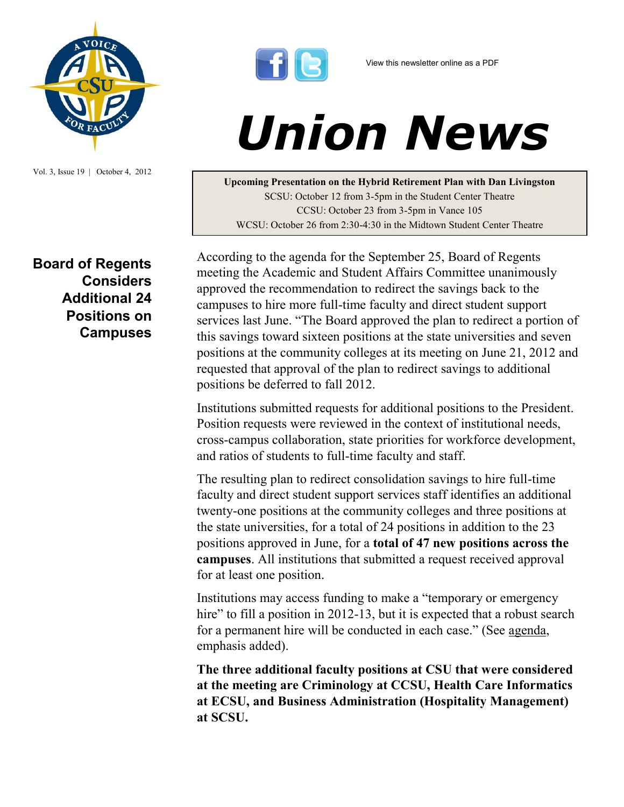

Vol. 3, Issue 19 | October 4, 2012

## **Board of Regents Considers Additional 24 Positions on Campuses**



## *Union News*

**Upcoming Presentation on the Hybrid Retirement Plan with Dan Livingston** SCSU: October 12 from 3-5pm in the Student Center Theatre CCSU: October 23 from 3-5pm in Vance 105 WCSU: October 26 from 2:30-4:30 in the Midtown Student Center Theatre

According to the agenda for the September 25, Board of Regents meeting the Academic and Student Affairs Committee unanimously approved the recommendation to redirect the savings back to the campuses to hire more full-time faculty and direct student support services last June. "The Board approved the plan to redirect a portion of this savings toward sixteen positions at the state universities and seven positions at the community colleges at its meeting on June 21, 2012 and requested that approval of the plan to redirect savings to additional positions be deferred to fall 2012.

Institutions submitted requests for additional positions to the President. Position requests were reviewed in the context of institutional needs, cross-campus collaboration, state priorities for workforce development, and ratios of students to full-time faculty and staff.

The resulting plan to redirect consolidation savings to hire full-time faculty and direct student support services staff identifies an additional twenty-one positions at the community colleges and three positions at the state universities, for a total of 24 positions in addition to the 23 positions approved in June, for a **total of 47 new positions across the campuses**. All institutions that submitted a request received approval for at least one position.

Institutions may access funding to make a "temporary or emergency hire" to fill a position in 2012-13, but it is expected that a robust search for a permanent hire will be conducted in each case." (See [agenda,](http://bit.ly/QKEqfz) emphasis added).

**The three additional faculty positions at CSU that were considered at the meeting are Criminology at CCSU, Health Care Informatics at ECSU, and Business Administration (Hospitality Management) at SCSU.**